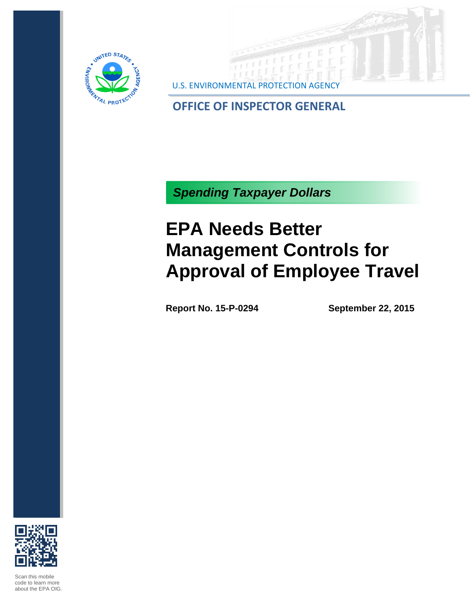



**OFFICE OF INSPECTOR GENERAL**

*Spending Taxpayer Dollars*

## **EPA Needs Better Management Controls for Approval of Employee Travel**

**Report No. 15-P-0294 September 22, 2015**



Scan this mobile code to learn more about the EPA OIG.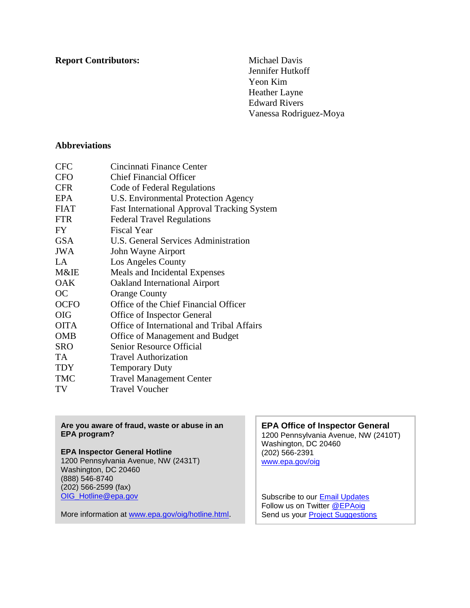## **Report Contributors:** Michael Davis

Jennifer Hutkoff Yeon Kim Heather Layne Edward Rivers Vanessa Rodriguez-Moya

## **Abbreviations**

| <b>CFC</b>  | Cincinnati Finance Center                          |
|-------------|----------------------------------------------------|
| <b>CFO</b>  | <b>Chief Financial Officer</b>                     |
| <b>CFR</b>  | Code of Federal Regulations                        |
| <b>EPA</b>  | U.S. Environmental Protection Agency               |
| <b>FIAT</b> | <b>Fast International Approval Tracking System</b> |
| <b>FTR</b>  | <b>Federal Travel Regulations</b>                  |
| FY.         | <b>Fiscal Year</b>                                 |
| <b>GSA</b>  | U.S. General Services Administration               |
| <b>JWA</b>  | John Wayne Airport                                 |
| $L^A$       | Los Angeles County                                 |
| M&IE        | Meals and Incidental Expenses                      |
| <b>OAK</b>  | <b>Oakland International Airport</b>               |
| <b>OC</b>   | <b>Orange County</b>                               |
| <b>OCFO</b> | Office of the Chief Financial Officer              |
| <b>OIG</b>  | Office of Inspector General                        |
| <b>OITA</b> | Office of International and Tribal Affairs         |
| <b>OMB</b>  | Office of Management and Budget                    |
| <b>SRO</b>  | Senior Resource Official                           |
| TA.         | <b>Travel Authorization</b>                        |
| <b>TDY</b>  | <b>Temporary Duty</b>                              |
| <b>TMC</b>  | <b>Travel Management Center</b>                    |
| TV          | <b>Travel Voucher</b>                              |

#### **Are you aware of fraud, waste or abuse in an EPA program?**

## **EPA Inspector General Hotline**

1200 Pennsylvania Avenue, NW (2431T) Washington, DC 20460 (888) 546-8740 (202) 566-2599 (fax) [OIG\\_Hotline@epa.gov](mailto:OIG_Hotline@epa.gov)

More information at [www.epa.gov/oig/hotline.html](http://go.usa.gov/mgQJ).

### **EPA Office of Inspector General**

1200 Pennsylvania Avenue, NW (2410T) Washington, DC 20460 (202) 566-2391 [www.epa.gov/oig](http://go.usa.gov/mgUQ)

Subscribe to our **Email Updates** Follow us on Twitter **@EPAoig** Send us your **Project [Suggestions](http://go.usa.gov/mgQ9)**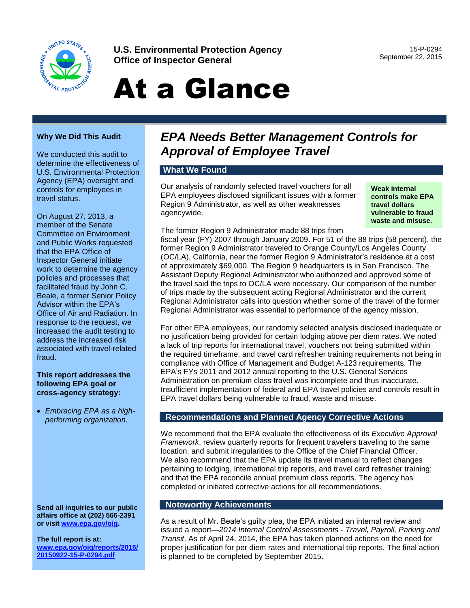

**U.S. Environmental Protection Agency Office of Inspector General**

15-P-0294 September 22, 2015

# At a Glance

### **Why We Did This Audit**

We conducted this audit to determine the effectiveness of U.S. Environmental Protection Agency (EPA) oversight and controls for employees in travel status.

On August 27, 2013, a member of the Senate Committee on Environment and Public Works requested that the EPA Office of Inspector General initiate work to determine the agency policies and processes that facilitated fraud by John C. Beale, a former Senior Policy Advisor within the EPA's Office of Air and Radiation. In response to the request, we increased the audit testing to address the increased risk associated with travel-related fraud.

#### **This report addresses the following EPA goal or cross-agency strategy:**

 *Embracing EPA as a highperforming organization.*

**Send all inquiries to our public affairs office at (202) 566-2391 or visit [www.epa.gov/oig.](http://www.epa.gov/oigg)**

**The full report is at: [www.epa.gov/oig/reports/2015/](http://www.epa.gov/oig/reports/2015/20150922-15-P-0294.pdf)  [20150922-15-P-0294.pdf](http://www.epa.gov/oig/reports/2015/20150922-15-P-0294.pdf)**

## *EPA Needs Better Management Controls for Approval of Employee Travel*

## **What We Found**

Our analysis of randomly selected travel vouchers for all EPA employees disclosed significant issues with a former Region 9 Administrator, as well as other weaknesses agencywide.

**Weak internal controls make EPA travel dollars vulnerable to fraud waste and misuse.**

The former Region 9 Administrator made 88 trips from fiscal year (FY) 2007 through January 2009. For 51 of the 88 trips (58 percent), the former Region 9 Administrator traveled to Orange County/Los Angeles County (OC/LA), California, near the former Region 9 Administrator's residence at a cost of approximately \$69,000. The Region 9 headquarters is in San Francisco. The Assistant Deputy Regional Administrator who authorized and approved some of the travel said the trips to OC/LA were necessary. Our comparison of the number of trips made by the subsequent acting Regional Administrator and the current Regional Administrator calls into question whether some of the travel of the former

Regional Administrator was essential to performance of the agency mission.

For other EPA employees, our randomly selected analysis disclosed inadequate or no justification being provided for certain lodging above per diem rates. We noted a lack of trip reports for international travel, vouchers not being submitted within the required timeframe, and travel card refresher training requirements not being in compliance with Office of Management and Budget A-123 requirements. The EPA's FYs 2011 and 2012 annual reporting to the U.S. General Services Administration on premium class travel was incomplete and thus inaccurate. Insufficient implementation of federal and EPA travel policies and controls result in EPA travel dollars being vulnerable to fraud, waste and misuse.

### **Recommendations and Planned Agency Corrective Actions**

We recommend that the EPA evaluate the effectiveness of its *Executive Approval Framework*, review quarterly reports for frequent travelers traveling to the same location, and submit irregularities to the Office of the Chief Financial Officer. We also recommend that the EPA update its travel manual to reflect changes pertaining to lodging, international trip reports, and travel card refresher training; and that the EPA reconcile annual premium class reports. The agency has completed or initiated corrective actions for all recommendations.

### **Noteworthy Achievements**

As a result of Mr. Beale's guilty plea, the EPA initiated an internal review and issued a report—*2014 Internal Control Assessments - Travel, Payroll, Parking and Transit*. As of April 24, 2014, the EPA has taken planned actions on the need for proper justification for per diem rates and international trip reports. The final action is planned to be completed by September 2015.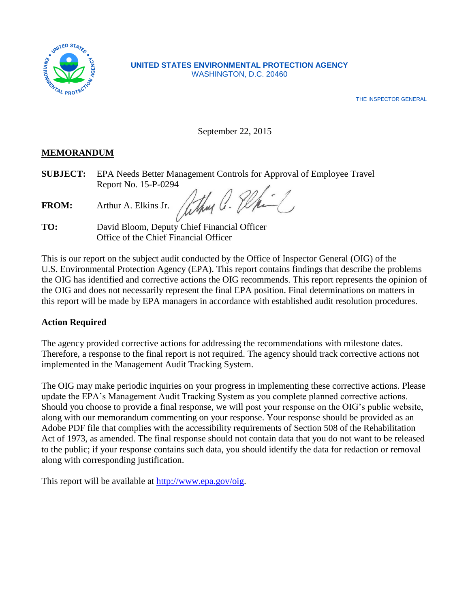

## **UNITED STATES ENVIRONMENTAL PROTECTION AGENCY** WASHINGTON, D.C. 20460

THE INSPECTOR GENERAL

September 22, 2015

## **MEMORANDUM**

**SUBJECT:** EPA Needs Better Management Controls for Approval of Employee Travel Report No. 15-P-0294

FROM: Arthur A. Elkins Jr. Why a. Elkins

**TO:** David Bloom, Deputy Chief Financial Officer Office of the Chief Financial Officer

This is our report on the subject audit conducted by the Office of Inspector General (OIG) of the U.S. Environmental Protection Agency (EPA). This report contains findings that describe the problems the OIG has identified and corrective actions the OIG recommends. This report represents the opinion of the OIG and does not necessarily represent the final EPA position. Final determinations on matters in this report will be made by EPA managers in accordance with established audit resolution procedures.

## **Action Required**

The agency provided corrective actions for addressing the recommendations with milestone dates. Therefore, a response to the final report is not required. The agency should track corrective actions not implemented in the Management Audit Tracking System.

The OIG may make periodic inquiries on your progress in implementing these corrective actions. Please update the EPA's Management Audit Tracking System as you complete planned corrective actions. Should you choose to provide a final response, we will post your response on the OIG's public website, along with our memorandum commenting on your response. Your response should be provided as an Adobe PDF file that complies with the accessibility requirements of Section 508 of the Rehabilitation Act of 1973, as amended. The final response should not contain data that you do not want to be released to the public; if your response contains such data, you should identify the data for redaction or removal along with corresponding justification.

This report will be available at http://www.epa.gov/oig.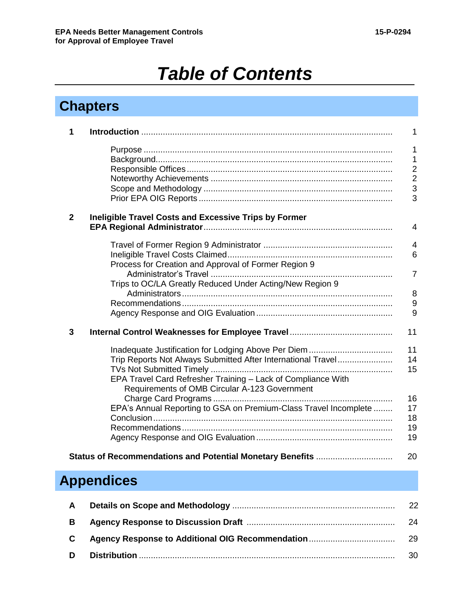## *Table of Contents*

## **Chapters**

| 1              |                                                                                                                                                                                                                                      | $\mathbf{1}$                                                               |
|----------------|--------------------------------------------------------------------------------------------------------------------------------------------------------------------------------------------------------------------------------------|----------------------------------------------------------------------------|
|                |                                                                                                                                                                                                                                      | $\mathbf{1}$<br>$\mathbf{1}$<br>$\overline{2}$<br>$\overline{2}$<br>3<br>3 |
| $\overline{2}$ | <b>Ineligible Travel Costs and Excessive Trips by Former</b>                                                                                                                                                                         | $\overline{4}$                                                             |
|                | Process for Creation and Approval of Former Region 9<br>Trips to OC/LA Greatly Reduced Under Acting/New Region 9                                                                                                                     | $\overline{4}$<br>$6\phantom{1}6$<br>$\overline{7}$<br>8<br>9<br>9         |
| 3              |                                                                                                                                                                                                                                      | 11                                                                         |
|                | Inadequate Justification for Lodging Above Per Diem<br>Trip Reports Not Always Submitted After International Travel<br>EPA Travel Card Refresher Training - Lack of Compliance With<br>Requirements of OMB Circular A-123 Government | 11<br>14<br>15                                                             |
|                | EPA's Annual Reporting to GSA on Premium-Class Travel Incomplete                                                                                                                                                                     | 16<br>17<br>18<br>19<br>19                                                 |
|                | Status of Recommendations and Potential Monetary Benefits                                                                                                                                                                            | 20                                                                         |
|                | <b>Appendices</b>                                                                                                                                                                                                                    |                                                                            |
| A              |                                                                                                                                                                                                                                      | 22                                                                         |

| B. | -24 |
|----|-----|
|    | -29 |
| D  | 30  |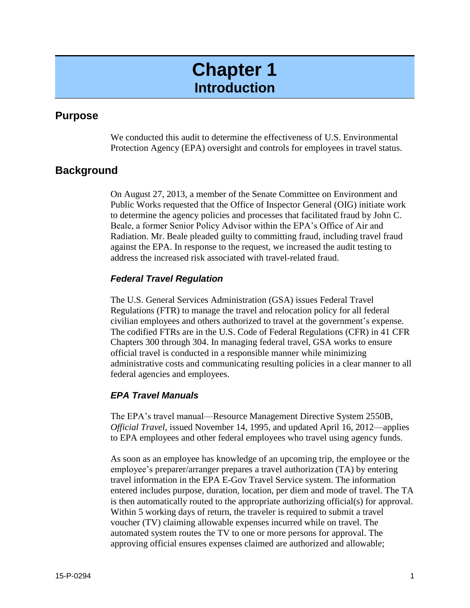## **Chapter 1 Introduction**

## **Purpose**

We conducted this audit to determine the effectiveness of U.S. Environmental Protection Agency (EPA) oversight and controls for employees in travel status.

## **Background**

On August 27, 2013, a member of the Senate Committee on Environment and Public Works requested that the Office of Inspector General (OIG) initiate work to determine the agency policies and processes that facilitated fraud by John C. Beale, a former Senior Policy Advisor within the EPA's Office of Air and Radiation. Mr. Beale pleaded guilty to committing fraud, including travel fraud against the EPA. In response to the request, we increased the audit testing to address the increased risk associated with travel-related fraud.

## *Federal Travel Regulation*

The U.S. General Services Administration (GSA) issues Federal Travel Regulations (FTR) to manage the travel and relocation policy for all federal civilian employees and others authorized to travel at the government's expense. The codified FTRs are in the U.S. Code of Federal Regulations (CFR) in 41 CFR Chapters 300 through 304. In managing federal travel, GSA works to ensure official travel is conducted in a responsible manner while minimizing administrative costs and communicating resulting policies in a clear manner to all federal agencies and employees.

## *EPA Travel Manuals*

The EPA's travel manual—Resource Management Directive System 2550B, *Official Travel*, issued November 14, 1995, and updated April 16, 2012—applies to EPA employees and other federal employees who travel using agency funds.

As soon as an employee has knowledge of an upcoming trip, the employee or the employee's preparer/arranger prepares a travel authorization (TA) by entering travel information in the EPA E-Gov Travel Service system. The information entered includes purpose, duration, location, per diem and mode of travel. The TA is then automatically routed to the appropriate authorizing official(s) for approval. Within 5 working days of return, the traveler is required to submit a travel voucher (TV) claiming allowable expenses incurred while on travel. The automated system routes the TV to one or more persons for approval. The approving official ensures expenses claimed are authorized and allowable;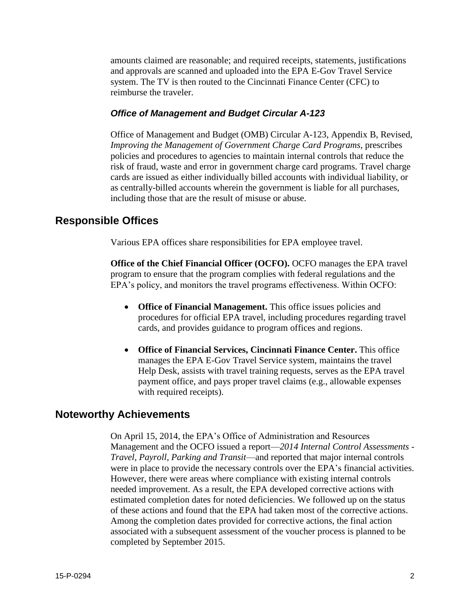amounts claimed are reasonable; and required receipts, statements, justifications and approvals are scanned and uploaded into the EPA E-Gov Travel Service system. The TV is then routed to the Cincinnati Finance Center (CFC) to reimburse the traveler.

## *Office of Management and Budget Circular A-123*

Office of Management and Budget (OMB) Circular A-123, Appendix B, Revised, *Improving the Management of Government Charge Card Programs*, prescribes policies and procedures to agencies to maintain internal controls that reduce the risk of fraud, waste and error in government charge card programs. Travel charge cards are issued as either individually billed accounts with individual liability, or as centrally-billed accounts wherein the government is liable for all purchases, including those that are the result of misuse or abuse.

## **Responsible Offices**

Various EPA offices share responsibilities for EPA employee travel.

**Office of the Chief Financial Officer (OCFO).** OCFO manages the EPA travel program to ensure that the program complies with federal regulations and the EPA's policy, and monitors the travel programs effectiveness. Within OCFO:

- Office of Financial Management. This office issues policies and procedures for official EPA travel, including procedures regarding travel cards, and provides guidance to program offices and regions.
- **Office of Financial Services, Cincinnati Finance Center.** This office manages the EPA E-Gov Travel Service system, maintains the travel Help Desk, assists with travel training requests, serves as the EPA travel payment office, and pays proper travel claims (e.g., allowable expenses with required receipts).

## **Noteworthy Achievements**

On April 15, 2014, the EPA's Office of Administration and Resources Management and the OCFO issued a report—*2014 Internal Control Assessments - Travel, Payroll, Parking and Transit*—and reported that major internal controls were in place to provide the necessary controls over the EPA's financial activities. However, there were areas where compliance with existing internal controls needed improvement. As a result, the EPA developed corrective actions with estimated completion dates for noted deficiencies. We followed up on the status of these actions and found that the EPA had taken most of the corrective actions. Among the completion dates provided for corrective actions, the final action associated with a subsequent assessment of the voucher process is planned to be completed by September 2015.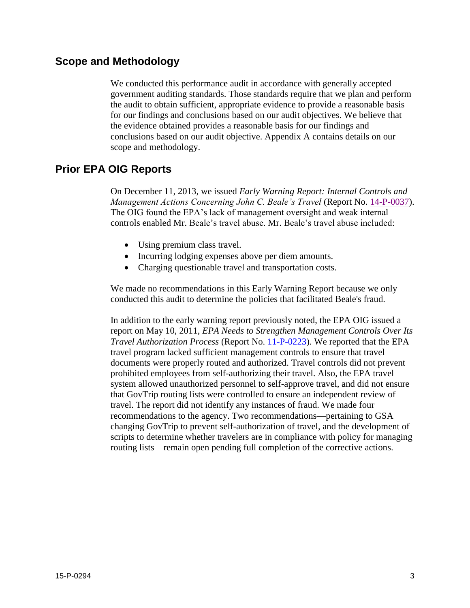## **Scope and Methodology**

We conducted this performance audit in accordance with generally accepted government auditing standards. Those standards require that we plan and perform the audit to obtain sufficient, appropriate evidence to provide a reasonable basis for our findings and conclusions based on our audit objectives. We believe that the evidence obtained provides a reasonable basis for our findings and conclusions based on our audit objective. Appendix A contains details on our scope and methodology.

## **Prior EPA OIG Reports**

On December 11, 2013, we issued *Early Warning Report: Internal Controls and Management Actions Concerning John C. Beale's Travel* (Report No. [14-P-0037\)](http://www.epa.gov/oig/reports/2014/20131211014-P-0037.pdf). The OIG found the EPA's lack of management oversight and weak internal controls enabled Mr. Beale's travel abuse. Mr. Beale's travel abuse included:

- Using premium class travel.
- Incurring lodging expenses above per diem amounts.
- Charging questionable travel and transportation costs.

We made no recommendations in this Early Warning Report because we only conducted this audit to determine the policies that facilitated Beale's fraud.

In addition to the early warning report previously noted, the EPA OIG issued a report on May 10, 2011, *EPA Needs to Strengthen Management Controls Over Its Travel Authorization Process* (Report No. [11-P-0223\)](http://www.epa.gov/oig/reports/2011/20110510-11-P-0223.pdf). We reported that the EPA travel program lacked sufficient management controls to ensure that travel documents were properly routed and authorized. Travel controls did not prevent prohibited employees from self-authorizing their travel. Also, the EPA travel system allowed unauthorized personnel to self-approve travel, and did not ensure that GovTrip routing lists were controlled to ensure an independent review of travel. The report did not identify any instances of fraud. We made four recommendations to the agency. Two recommendations—pertaining to GSA changing GovTrip to prevent self-authorization of travel, and the development of scripts to determine whether travelers are in compliance with policy for managing routing lists—remain open pending full completion of the corrective actions.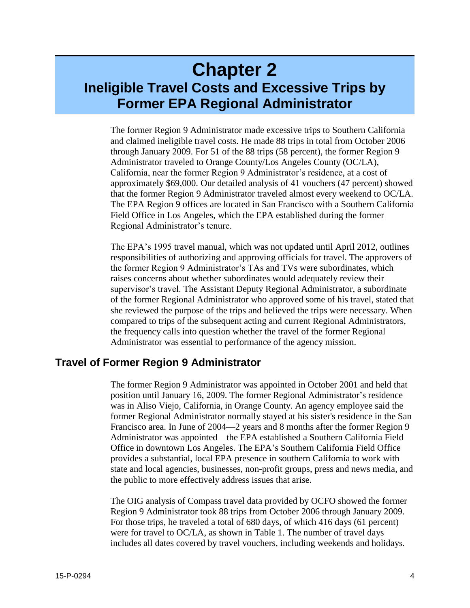## **Chapter 2 Ineligible Travel Costs and Excessive Trips by Former EPA Regional Administrator**

The former Region 9 Administrator made excessive trips to Southern California and claimed ineligible travel costs. He made 88 trips in total from October 2006 through January 2009. For 51 of the 88 trips (58 percent), the former Region 9 Administrator traveled to Orange County/Los Angeles County (OC/LA), California, near the former Region 9 Administrator's residence, at a cost of approximately \$69,000. Our detailed analysis of 41 vouchers (47 percent) showed that the former Region 9 Administrator traveled almost every weekend to OC/LA. The EPA Region 9 offices are located in San Francisco with a Southern California Field Office in Los Angeles, which the EPA established during the former Regional Administrator's tenure.

The EPA's 1995 travel manual, which was not updated until April 2012, outlines responsibilities of authorizing and approving officials for travel. The approvers of the former Region 9 Administrator's TAs and TVs were subordinates, which raises concerns about whether subordinates would adequately review their supervisor's travel. The Assistant Deputy Regional Administrator, a subordinate of the former Regional Administrator who approved some of his travel, stated that she reviewed the purpose of the trips and believed the trips were necessary. When compared to trips of the subsequent acting and current Regional Administrators, the frequency calls into question whether the travel of the former Regional Administrator was essential to performance of the agency mission.

## **Travel of Former Region 9 Administrator**

The former Region 9 Administrator was appointed in October 2001 and held that position until January 16, 2009. The former Regional Administrator's residence was in Aliso Viejo, California, in Orange County. An agency employee said the former Regional Administrator normally stayed at his sister's residence in the San Francisco area. In June of 2004—2 years and 8 months after the former Region 9 Administrator was appointed—the EPA established a Southern California Field Office in downtown Los Angeles. The EPA's Southern California Field Office provides a substantial, local EPA presence in southern California to work with state and local agencies, businesses, non-profit groups, press and news media, and the public to more effectively address issues that arise.

The OIG analysis of Compass travel data provided by OCFO showed the former Region 9 Administrator took 88 trips from October 2006 through January 2009. For those trips, he traveled a total of 680 days, of which 416 days (61 percent) were for travel to OC/LA, as shown in Table 1. The number of travel days includes all dates covered by travel vouchers, including weekends and holidays.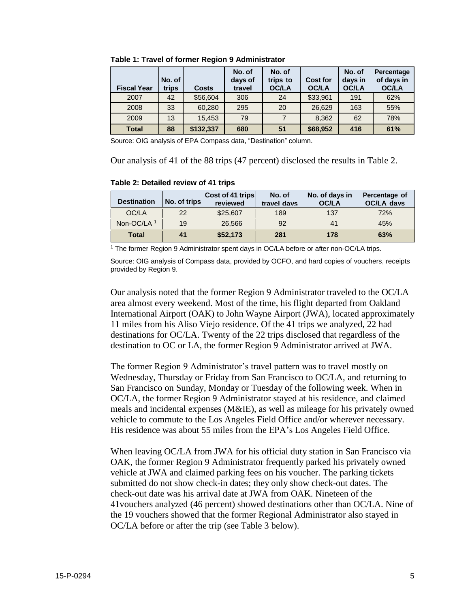| <b>Fiscal Year</b> | No. of<br>trips | <b>Costs</b> | No. of<br>days of<br>travel | No. of<br>trips to<br><b>OC/LA</b> | <b>Cost for</b><br><b>OC/LA</b> | No. of<br>days in<br>OC/LA | Percentage<br>of days in<br>OC/LA |
|--------------------|-----------------|--------------|-----------------------------|------------------------------------|---------------------------------|----------------------------|-----------------------------------|
| 2007               | 42              | \$56,604     | 306                         | 24                                 | \$33,961                        | 191                        | 62%                               |
| 2008               | 33              | 60,280       | 295                         | 20                                 | 26,629                          | 163                        | 55%                               |
| 2009               | 13              | 15,453       | 79                          |                                    | 8,362                           | 62                         | 78%                               |
| <b>Total</b>       | 88              | \$132,337    | 680                         | 51                                 | \$68,952                        | 416                        | 61%                               |

**Table 1: Travel of former Region 9 Administrator**

Source: OIG analysis of EPA Compass data, "Destination" column.

Our analysis of 41 of the 88 trips (47 percent) disclosed the results in Table 2.

#### **Table 2: Detailed review of 41 trips**

| <b>Destination</b>     | No. of trips | Cost of 41 trips<br>reviewed | No. of<br>travel days | No. of days in<br>OC/LA | Percentage of<br>OC/LA davs |
|------------------------|--------------|------------------------------|-----------------------|-------------------------|-----------------------------|
| OC/LA                  | 22           | \$25,607                     | 189                   | 137                     | 72%                         |
| Non-OC/LA <sup>1</sup> | 19           | 26.566                       | 92                    | 41                      | 45%                         |
| Total                  | 41           | \$52,173                     | 281                   | 178                     | 63%                         |

<sup>1</sup> The former Region 9 Administrator spent days in OC/LA before or after non-OC/LA trips.

Source: OIG analysis of Compass data, provided by OCFO, and hard copies of vouchers, receipts provided by Region 9.

Our analysis noted that the former Region 9 Administrator traveled to the OC/LA area almost every weekend. Most of the time, his flight departed from Oakland International Airport (OAK) to John Wayne Airport (JWA), located approximately 11 miles from his Aliso Viejo residence. Of the 41 trips we analyzed, 22 had destinations for OC/LA. Twenty of the 22 trips disclosed that regardless of the destination to OC or LA, the former Region 9 Administrator arrived at JWA.

The former Region 9 Administrator's travel pattern was to travel mostly on Wednesday, Thursday or Friday from San Francisco to OC/LA, and returning to San Francisco on Sunday, Monday or Tuesday of the following week. When in OC/LA, the former Region 9 Administrator stayed at his residence, and claimed meals and incidental expenses (M&IE), as well as mileage for his privately owned vehicle to commute to the Los Angeles Field Office and/or wherever necessary. His residence was about 55 miles from the EPA's Los Angeles Field Office.

When leaving OC/LA from JWA for his official duty station in San Francisco via OAK, the former Region 9 Administrator frequently parked his privately owned vehicle at JWA and claimed parking fees on his voucher. The parking tickets submitted do not show check-in dates; they only show check-out dates. The check-out date was his arrival date at JWA from OAK. Nineteen of the 41vouchers analyzed (46 percent) showed destinations other than OC/LA. Nine of the 19 vouchers showed that the former Regional Administrator also stayed in OC/LA before or after the trip (see Table 3 below).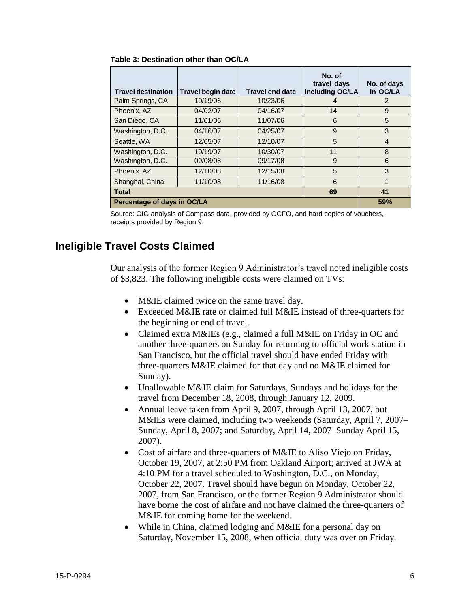| <b>Travel destination</b>   | <b>Travel begin date</b> | <b>Travel end date</b> | No. of<br>travel days<br>including OC/LA | No. of days<br>in OC/LA |
|-----------------------------|--------------------------|------------------------|------------------------------------------|-------------------------|
| Palm Springs, CA            | 10/19/06                 | 10/23/06               | 4                                        | 2                       |
| Phoenix, AZ                 | 04/02/07                 | 04/16/07               | 14                                       | 9                       |
| San Diego, CA               | 11/01/06                 | 11/07/06               | 6                                        | 5                       |
| Washington, D.C.            | 04/16/07                 | 04/25/07               | 9                                        | 3                       |
| Seattle, WA                 | 12/05/07                 | 12/10/07               | 5                                        | $\overline{4}$          |
| Washington, D.C.            | 10/19/07                 | 10/30/07               | 11                                       | 8                       |
| Washington, D.C.            | 09/08/08                 | 09/17/08               | 9                                        | 6                       |
| Phoenix, AZ                 | 12/10/08                 | 12/15/08               | 5                                        | 3                       |
| Shanghai, China             | 11/10/08                 | 11/16/08               | 6                                        | 1                       |
| <b>Total</b>                | 69                       | 41                     |                                          |                         |
| Percentage of days in OC/LA |                          |                        |                                          | 59%                     |

**Table 3: Destination other than OC/LA**

Source: OIG analysis of Compass data, provided by OCFO, and hard copies of vouchers, receipts provided by Region 9.

## **Ineligible Travel Costs Claimed**

Our analysis of the former Region 9 Administrator's travel noted ineligible costs of \$3,823. The following ineligible costs were claimed on TVs:

- M&IE claimed twice on the same travel day.
- Exceeded M&IE rate or claimed full M&IE instead of three-quarters for the beginning or end of travel.
- Claimed extra M&IEs (e.g., claimed a full M&IE on Friday in OC and another three-quarters on Sunday for returning to official work station in San Francisco, but the official travel should have ended Friday with three-quarters M&IE claimed for that day and no M&IE claimed for Sunday).
- Unallowable M&IE claim for Saturdays, Sundays and holidays for the travel from December 18, 2008, through January 12, 2009.
- Annual leave taken from April 9, 2007, through April 13, 2007, but M&IEs were claimed, including two weekends (Saturday, April 7, 2007– Sunday, April 8, 2007; and Saturday, April 14, 2007–Sunday April 15, 2007).
- Cost of airfare and three-quarters of M&IE to Aliso Viejo on Friday, October 19, 2007, at 2:50 PM from Oakland Airport; arrived at JWA at 4:10 PM for a travel scheduled to Washington, D.C., on Monday, October 22, 2007. Travel should have begun on Monday, October 22, 2007, from San Francisco, or the former Region 9 Administrator should have borne the cost of airfare and not have claimed the three-quarters of M&IE for coming home for the weekend.
- While in China, claimed lodging and M&IE for a personal day on Saturday, November 15, 2008, when official duty was over on Friday.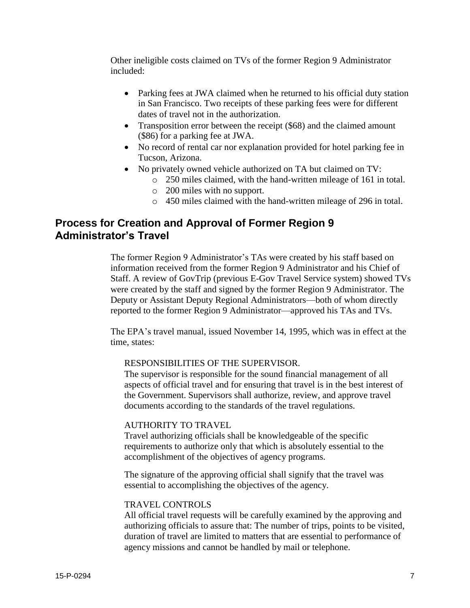Other ineligible costs claimed on TVs of the former Region 9 Administrator included:

- Parking fees at JWA claimed when he returned to his official duty station in San Francisco. Two receipts of these parking fees were for different dates of travel not in the authorization.
- Transposition error between the receipt (\$68) and the claimed amount (\$86) for a parking fee at JWA.
- No record of rental car nor explanation provided for hotel parking fee in Tucson, Arizona.
- No privately owned vehicle authorized on TA but claimed on TV:
	- o 250 miles claimed, with the hand-written mileage of 161 in total.
	- o 200 miles with no support.
	- o 450 miles claimed with the hand-written mileage of 296 in total.

## **Process for Creation and Approval of Former Region 9 Administrator's Travel**

The former Region 9 Administrator's TAs were created by his staff based on information received from the former Region 9 Administrator and his Chief of Staff. A review of GovTrip (previous E-Gov Travel Service system) showed TVs were created by the staff and signed by the former Region 9 Administrator. The Deputy or Assistant Deputy Regional Administrators—both of whom directly reported to the former Region 9 Administrator—approved his TAs and TVs.

The EPA's travel manual, issued November 14, 1995, which was in effect at the time, states:

## RESPONSIBILITIES OF THE SUPERVISOR.

The supervisor is responsible for the sound financial management of all aspects of official travel and for ensuring that travel is in the best interest of the Government. Supervisors shall authorize, review, and approve travel documents according to the standards of the travel regulations.

## AUTHORITY TO TRAVEL

Travel authorizing officials shall be knowledgeable of the specific requirements to authorize only that which is absolutely essential to the accomplishment of the objectives of agency programs.

The signature of the approving official shall signify that the travel was essential to accomplishing the objectives of the agency.

## TRAVEL CONTROLS

All official travel requests will be carefully examined by the approving and authorizing officials to assure that: The number of trips, points to be visited, duration of travel are limited to matters that are essential to performance of agency missions and cannot be handled by mail or telephone.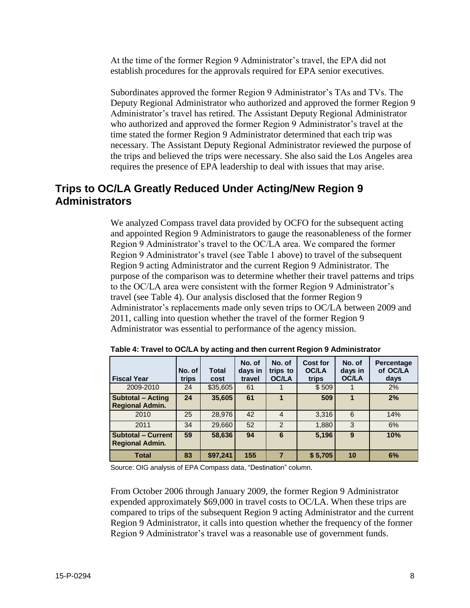At the time of the former Region 9 Administrator's travel, the EPA did not establish procedures for the approvals required for EPA senior executives.

Subordinates approved the former Region 9 Administrator's TAs and TVs. The Deputy Regional Administrator who authorized and approved the former Region 9 Administrator's travel has retired. The Assistant Deputy Regional Administrator who authorized and approved the former Region 9 Administrator's travel at the time stated the former Region 9 Administrator determined that each trip was necessary. The Assistant Deputy Regional Administrator reviewed the purpose of the trips and believed the trips were necessary. She also said the Los Angeles area requires the presence of EPA leadership to deal with issues that may arise.

## **Trips to OC/LA Greatly Reduced Under Acting/New Region 9 Administrators**

We analyzed Compass travel data provided by OCFO for the subsequent acting and appointed Region 9 Administrators to gauge the reasonableness of the former Region 9 Administrator's travel to the OC/LA area. We compared the former Region 9 Administrator's travel (see Table 1 above) to travel of the subsequent Region 9 acting Administrator and the current Region 9 Administrator. The purpose of the comparison was to determine whether their travel patterns and trips to the OC/LA area were consistent with the former Region 9 Administrator's travel (see Table 4). Our analysis disclosed that the former Region 9 Administrator's replacements made only seven trips to OC/LA between 2009 and 2011, calling into question whether the travel of the former Region 9 Administrator was essential to performance of the agency mission.

| <b>Fiscal Year</b>                                  | No. of<br>trips | Total<br>cost | No. of<br>days in<br>travel | No. of<br>trips to<br><b>OC/LA</b> | Cost for<br><b>OC/LA</b><br>trips | No. of<br>days in<br><b>OC/LA</b> | <b>Percentage</b><br>of OC/LA<br>days |
|-----------------------------------------------------|-----------------|---------------|-----------------------------|------------------------------------|-----------------------------------|-----------------------------------|---------------------------------------|
| 2009-2010                                           | 24              | \$35,605      | 61                          |                                    | \$509                             |                                   | 2%                                    |
| <b>Subtotal - Acting</b><br><b>Regional Admin.</b>  | 24              | 35,605        | 61                          | 1                                  | 509                               |                                   | 2%                                    |
| 2010                                                | 25              | 28,976        | 42                          | $\overline{4}$                     | 3,316                             | 6                                 | 14%                                   |
| 2011                                                | 34              | 29,660        | 52                          | 2                                  | 1,880                             | 3                                 | 6%                                    |
| <b>Subtotal - Current</b><br><b>Regional Admin.</b> | 59              | 58,636        | 94                          | 6                                  | 5,196                             | 9                                 | 10%                                   |
| <b>Total</b>                                        | 83              | \$97,241      | 155                         | $\overline{7}$                     | \$5,705                           | 10                                | 6%                                    |

**Table 4: Travel to OC/LA by acting and then current Region 9 Administrator**

Source: OIG analysis of EPA Compass data, "Destination" column.

From October 2006 through January 2009, the former Region 9 Administrator expended approximately \$69,000 in travel costs to OC/LA. When these trips are compared to trips of the subsequent Region 9 acting Administrator and the current Region 9 Administrator, it calls into question whether the frequency of the former Region 9 Administrator's travel was a reasonable use of government funds.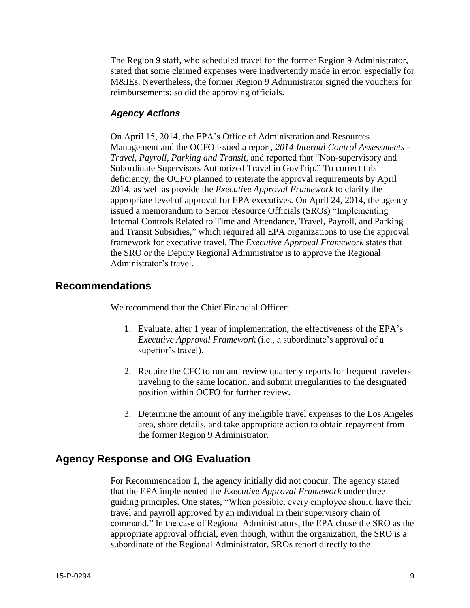The Region 9 staff, who scheduled travel for the former Region 9 Administrator, stated that some claimed expenses were inadvertently made in error, especially for M&IEs. Nevertheless, the former Region 9 Administrator signed the vouchers for reimbursements; so did the approving officials.

## *Agency Actions*

On April 15, 2014, the EPA's Office of Administration and Resources Management and the OCFO issued a report, *2014 Internal Control Assessments - Travel, Payroll, Parking and Transit,* and reported that "Non-supervisory and Subordinate Supervisors Authorized Travel in GovTrip." To correct this deficiency, the OCFO planned to reiterate the approval requirements by April 2014, as well as provide the *Executive Approval Framework* to clarify the appropriate level of approval for EPA executives. On April 24, 2014, the agency issued a memorandum to Senior Resource Officials (SROs) "Implementing Internal Controls Related to Time and Attendance, Travel, Payroll, and Parking and Transit Subsidies," which required all EPA organizations to use the approval framework for executive travel. The *Executive Approval Framework* states that the SRO or the Deputy Regional Administrator is to approve the Regional Administrator's travel.

## **Recommendations**

We recommend that the Chief Financial Officer:

- 1. Evaluate, after 1 year of implementation, the effectiveness of the EPA's *Executive Approval Framework* (i.e., a subordinate's approval of a superior's travel).
- 2. Require the CFC to run and review quarterly reports for frequent travelers traveling to the same location, and submit irregularities to the designated position within OCFO for further review.
- 3. Determine the amount of any ineligible travel expenses to the Los Angeles area, share details, and take appropriate action to obtain repayment from the former Region 9 Administrator.

## **Agency Response and OIG Evaluation**

For Recommendation 1, the agency initially did not concur. The agency stated that the EPA implemented the *Executive Approval Framework* under three guiding principles. One states, "When possible, every employee should have their travel and payroll approved by an individual in their supervisory chain of command." In the case of Regional Administrators, the EPA chose the SRO as the appropriate approval official, even though, within the organization, the SRO is a subordinate of the Regional Administrator. SROs report directly to the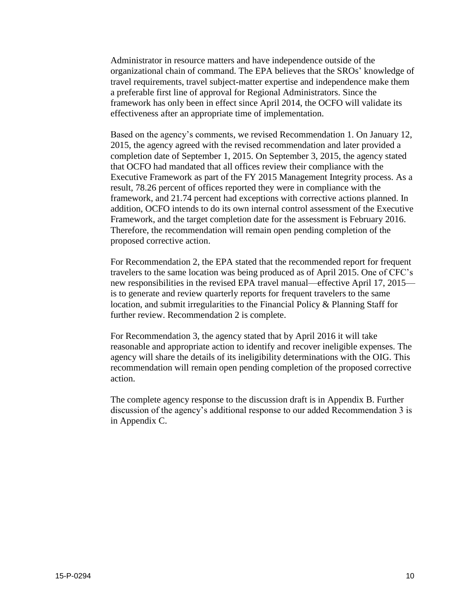Administrator in resource matters and have independence outside of the organizational chain of command. The EPA believes that the SROs' knowledge of travel requirements, travel subject-matter expertise and independence make them a preferable first line of approval for Regional Administrators. Since the framework has only been in effect since April 2014, the OCFO will validate its effectiveness after an appropriate time of implementation.

Based on the agency's comments, we revised Recommendation 1. On January 12, 2015, the agency agreed with the revised recommendation and later provided a completion date of September 1, 2015. On September 3, 2015, the agency stated that OCFO had mandated that all offices review their compliance with the Executive Framework as part of the FY 2015 Management Integrity process. As a result, 78.26 percent of offices reported they were in compliance with the framework, and 21.74 percent had exceptions with corrective actions planned. In addition, OCFO intends to do its own internal control assessment of the Executive Framework, and the target completion date for the assessment is February 2016. Therefore, the recommendation will remain open pending completion of the proposed corrective action.

For Recommendation 2, the EPA stated that the recommended report for frequent travelers to the same location was being produced as of April 2015. One of CFC's new responsibilities in the revised EPA travel manual—effective April 17, 2015 is to generate and review quarterly reports for frequent travelers to the same location, and submit irregularities to the Financial Policy & Planning Staff for further review. Recommendation 2 is complete.

For Recommendation 3, the agency stated that by April 2016 it will take reasonable and appropriate action to identify and recover ineligible expenses. The agency will share the details of its ineligibility determinations with the OIG. This recommendation will remain open pending completion of the proposed corrective action.

The complete agency response to the discussion draft is in Appendix B. Further discussion of the agency's additional response to our added Recommendation 3 is in Appendix C.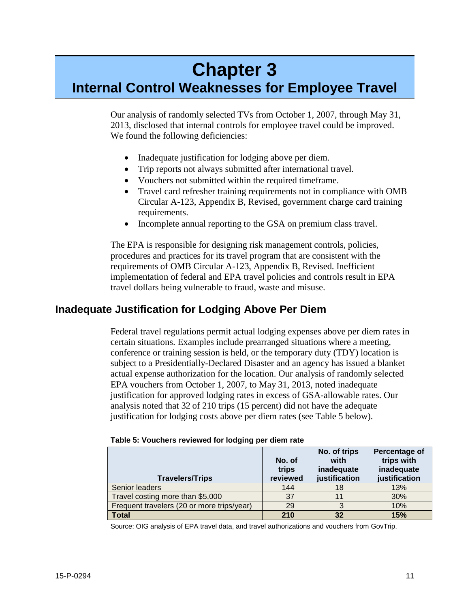## **Chapter 3**

## **Internal Control Weaknesses for Employee Travel**

Our analysis of randomly selected TVs from October 1, 2007, through May 31, 2013, disclosed that internal controls for employee travel could be improved. We found the following deficiencies:

- Inadequate justification for lodging above per diem.
- Trip reports not always submitted after international travel.
- Vouchers not submitted within the required timeframe.
- Travel card refresher training requirements not in compliance with OMB Circular A-123, Appendix B, Revised, government charge card training requirements.
- Incomplete annual reporting to the GSA on premium class travel.

The EPA is responsible for designing risk management controls, policies, procedures and practices for its travel program that are consistent with the requirements of OMB Circular A-123, Appendix B, Revised. Inefficient implementation of federal and EPA travel policies and controls result in EPA travel dollars being vulnerable to fraud, waste and misuse.

## **Inadequate Justification for Lodging Above Per Diem**

Federal travel regulations permit actual lodging expenses above per diem rates in certain situations. Examples include prearranged situations where a meeting, conference or training session is held, or the temporary duty (TDY) location is subject to a Presidentially-Declared Disaster and an agency has issued a blanket actual expense authorization for the location. Our analysis of randomly selected EPA vouchers from October 1, 2007, to May 31, 2013, noted inadequate justification for approved lodging rates in excess of GSA-allowable rates. Our analysis noted that 32 of 210 trips (15 percent) did not have the adequate justification for lodging costs above per diem rates (see Table 5 below).

| <b>Travelers/Trips</b>                     | No. of<br>trips<br>reviewed | No. of trips<br>with<br>inadequate<br>justification | Percentage of<br>trips with<br>inadequate<br>justification |
|--------------------------------------------|-----------------------------|-----------------------------------------------------|------------------------------------------------------------|
| Senior leaders                             | 144                         | 18                                                  | 13%                                                        |
| Travel costing more than \$5,000           | 37                          |                                                     | 30%                                                        |
| Frequent travelers (20 or more trips/year) | 29                          | 3                                                   | 10%                                                        |
| <b>Total</b>                               | 210                         | 32                                                  | 15%                                                        |

| Table 5: Vouchers reviewed for lodging per diem rate |  |  |  |
|------------------------------------------------------|--|--|--|
|------------------------------------------------------|--|--|--|

Source: OIG analysis of EPA travel data, and travel authorizations and vouchers from GovTrip.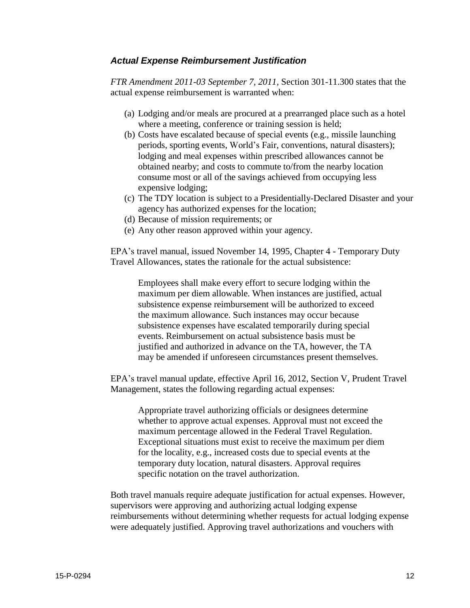## *Actual Expense Reimbursement Justification*

*FTR Amendment 2011-03 September 7, 2011,* Section 301-11.300 states that the actual expense reimbursement is warranted when:

- (a) Lodging and/or meals are procured at a prearranged place such as a hotel where a meeting, conference or training session is held;
- (b) Costs have escalated because of special events (e.g., missile launching periods, sporting events, World's Fair, conventions, natural disasters); lodging and meal expenses within prescribed allowances cannot be obtained nearby; and costs to commute to/from the nearby location consume most or all of the savings achieved from occupying less expensive lodging;
- (c) The TDY location is subject to a Presidentially-Declared Disaster and your agency has authorized expenses for the location;
- (d) Because of mission requirements; or
- (e) Any other reason approved within your agency.

EPA's travel manual, issued November 14, 1995, Chapter 4 - Temporary Duty Travel Allowances, states the rationale for the actual subsistence:

Employees shall make every effort to secure lodging within the maximum per diem allowable. When instances are justified, actual subsistence expense reimbursement will be authorized to exceed the maximum allowance. Such instances may occur because subsistence expenses have escalated temporarily during special events. Reimbursement on actual subsistence basis must be justified and authorized in advance on the TA, however, the TA may be amended if unforeseen circumstances present themselves.

EPA's travel manual update, effective April 16, 2012, Section V, Prudent Travel Management, states the following regarding actual expenses:

Appropriate travel authorizing officials or designees determine whether to approve actual expenses. Approval must not exceed the maximum percentage allowed in the Federal Travel Regulation. Exceptional situations must exist to receive the maximum per diem for the locality, e.g., increased costs due to special events at the temporary duty location, natural disasters. Approval requires specific notation on the travel authorization.

Both travel manuals require adequate justification for actual expenses. However, supervisors were approving and authorizing actual lodging expense reimbursements without determining whether requests for actual lodging expense were adequately justified. Approving travel authorizations and vouchers with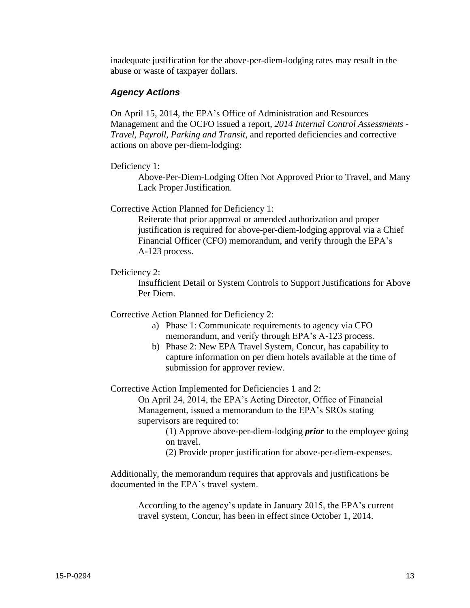inadequate justification for the above-per-diem-lodging rates may result in the abuse or waste of taxpayer dollars.

## *Agency Actions*

On April 15, 2014, the EPA's Office of Administration and Resources Management and the OCFO issued a report, *2014 Internal Control Assessments - Travel, Payroll, Parking and Transit*, and reported deficiencies and corrective actions on above per-diem-lodging:

### Deficiency 1:

Above-Per-Diem-Lodging Often Not Approved Prior to Travel, and Many Lack Proper Justification.

## Corrective Action Planned for Deficiency 1:

Reiterate that prior approval or amended authorization and proper justification is required for above-per-diem-lodging approval via a Chief Financial Officer (CFO) memorandum, and verify through the EPA's A-123 process.

## Deficiency 2:

Insufficient Detail or System Controls to Support Justifications for Above Per Diem.

## Corrective Action Planned for Deficiency 2:

- a) Phase 1: Communicate requirements to agency via CFO memorandum, and verify through EPA's A-123 process.
- b) Phase 2: New EPA Travel System, Concur, has capability to capture information on per diem hotels available at the time of submission for approver review.

### Corrective Action Implemented for Deficiencies 1 and 2:

On April 24, 2014, the EPA's Acting Director, Office of Financial Management, issued a memorandum to the EPA's SROs stating supervisors are required to:

> (1) Approve above-per-diem-lodging *prior* to the employee going on travel.

(2) Provide proper justification for above-per-diem-expenses.

Additionally, the memorandum requires that approvals and justifications be documented in the EPA's travel system.

According to the agency's update in January 2015, the EPA's current travel system, Concur, has been in effect since October 1, 2014.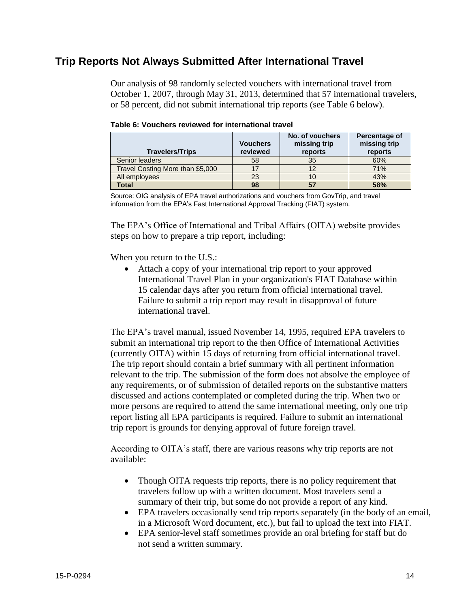## **Trip Reports Not Always Submitted After International Travel**

Our analysis of 98 randomly selected vouchers with international travel from October 1, 2007, through May 31, 2013, determined that 57 international travelers, or 58 percent, did not submit international trip reports (see Table 6 below).

| <b>Travelers/Trips</b>           | <b>Vouchers</b><br>reviewed | No. of vouchers<br>missing trip<br>reports | Percentage of<br>missing trip<br>reports |
|----------------------------------|-----------------------------|--------------------------------------------|------------------------------------------|
| Senior leaders                   | 58                          | 35                                         | 60%                                      |
| Travel Costing More than \$5,000 | 17                          | 12                                         | 71%                                      |
| All employees                    | 23                          | 10                                         | 43%                                      |
| Total                            | 98                          | 57                                         | 58%                                      |

| Table 6: Vouchers reviewed for international travel |  |  |  |
|-----------------------------------------------------|--|--|--|
|-----------------------------------------------------|--|--|--|

Source: OIG analysis of EPA travel authorizations and vouchers from GovTrip, and travel information from the EPA's Fast International Approval Tracking (FIAT) system.

The EPA's Office of International and Tribal Affairs (OITA) website provides steps on how to prepare a trip report, including:

When you return to the U.S.:

 Attach a copy of your international trip report to your approved International Travel Plan in your organization's FIAT Database within 15 calendar days after you return from official international travel. Failure to submit a trip report may result in disapproval of future international travel.

The EPA's travel manual, issued November 14, 1995, required EPA travelers to submit an international trip report to the then Office of International Activities (currently OITA) within 15 days of returning from official international travel. The trip report should contain a brief summary with all pertinent information relevant to the trip. The submission of the form does not absolve the employee of any requirements, or of submission of detailed reports on the substantive matters discussed and actions contemplated or completed during the trip. When two or more persons are required to attend the same international meeting, only one trip report listing all EPA participants is required. Failure to submit an international trip report is grounds for denying approval of future foreign travel.

According to OITA's staff, there are various reasons why trip reports are not available:

- Though OITA requests trip reports, there is no policy requirement that travelers follow up with a written document. Most travelers send a summary of their trip, but some do not provide a report of any kind.
- EPA travelers occasionally send trip reports separately (in the body of an email, in a Microsoft Word document, etc.), but fail to upload the text into FIAT.
- EPA senior-level staff sometimes provide an oral briefing for staff but do not send a written summary.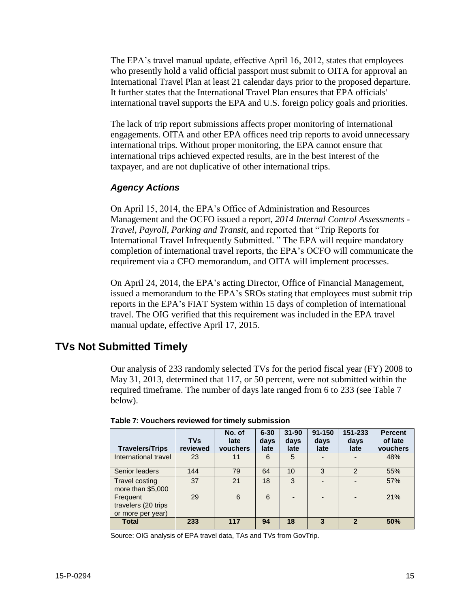The EPA's travel manual update, effective April 16, 2012, states that employees who presently hold a valid official passport must submit to OITA for approval an International Travel Plan at least 21 calendar days prior to the proposed departure. It further states that the International Travel Plan ensures that EPA officials' international travel supports the EPA and U.S. foreign policy goals and priorities.

The lack of trip report submissions affects proper monitoring of international engagements. OITA and other EPA offices need trip reports to avoid unnecessary international trips. Without proper monitoring, the EPA cannot ensure that international trips achieved expected results, are in the best interest of the taxpayer, and are not duplicative of other international trips.

## *Agency Actions*

On April 15, 2014, the EPA's Office of Administration and Resources Management and the OCFO issued a report, *2014 Internal Control Assessments - Travel, Payroll, Parking and Transit,* and reported that "Trip Reports for International Travel Infrequently Submitted. " The EPA will require mandatory completion of international travel reports, the EPA's OCFO will communicate the requirement via a CFO memorandum, and OITA will implement processes.

On April 24, 2014, the EPA's acting Director, Office of Financial Management, issued a memorandum to the EPA's SROs stating that employees must submit trip reports in the EPA's FIAT System within 15 days of completion of international travel. The OIG verified that this requirement was included in the EPA travel manual update, effective April 17, 2015.

## **TVs Not Submitted Timely**

Our analysis of 233 randomly selected TVs for the period fiscal year (FY) 2008 to May 31, 2013, determined that 117, or 50 percent, were not submitted within the required timeframe. The number of days late ranged from 6 to 233 (see Table 7 below).

| <b>Travelers/Trips</b>                               | <b>TVs</b><br>reviewed | No. of<br>late<br>vouchers | $6 - 30$<br>days<br>late | $31 - 90$<br>days<br>late | $91 - 150$<br>days<br>late | 151-233<br>days<br>late  | <b>Percent</b><br>of late<br>vouchers |
|------------------------------------------------------|------------------------|----------------------------|--------------------------|---------------------------|----------------------------|--------------------------|---------------------------------------|
| International travel                                 | 23                     | 11                         | 6                        | 5                         | $\overline{\phantom{0}}$   | $\overline{\phantom{0}}$ | 48%                                   |
| Senior leaders                                       | 144                    | 79                         | 64                       | 10                        | 3                          | $\overline{2}$           | 55%                                   |
| <b>Travel costing</b><br>more than \$5,000           | 37                     | 21                         | 18                       | 3                         | $\overline{\phantom{0}}$   |                          | 57%                                   |
| Frequent<br>travelers (20 trips<br>or more per year) | 29                     | 6                          | 6                        |                           | $\overline{\phantom{0}}$   |                          | 21%                                   |
| <b>Total</b>                                         | 233                    | 117                        | 94                       | 18                        | 3                          | $\overline{\mathbf{z}}$  | 50%                                   |

**Table 7: Vouchers reviewed for timely submission**

Source: OIG analysis of EPA travel data, TAs and TVs from GovTrip.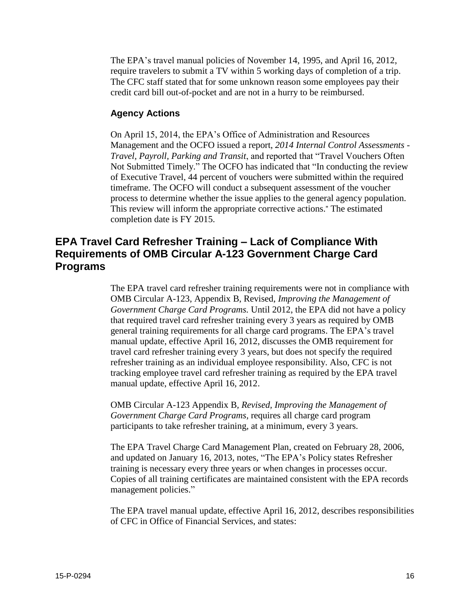The EPA's travel manual policies of November 14, 1995, and April 16, 2012, require travelers to submit a TV within 5 working days of completion of a trip. The CFC staff stated that for some unknown reason some employees pay their credit card bill out-of-pocket and are not in a hurry to be reimbursed.

## **Agency Actions**

On April 15, 2014, the EPA's Office of Administration and Resources Management and the OCFO issued a report, *2014 Internal Control Assessments - Travel, Payroll, Parking and Transit*, and reported that "Travel Vouchers Often Not Submitted Timely." The OCFO has indicated that "In conducting the review of Executive Travel, 44 percent of vouchers were submitted within the required timeframe. The OCFO will conduct a subsequent assessment of the voucher process to determine whether the issue applies to the general agency population. This review will inform the appropriate corrective actions." The estimated completion date is FY 2015.

## **EPA Travel Card Refresher Training – Lack of Compliance With Requirements of OMB Circular A-123 Government Charge Card Programs**

The EPA travel card refresher training requirements were not in compliance with OMB Circular A-123, Appendix B, Revised, *Improving the Management of Government Charge Card Programs.* Until 2012, the EPA did not have a policy that required travel card refresher training every 3 years as required by OMB general training requirements for all charge card programs. The EPA's travel manual update, effective April 16, 2012, discusses the OMB requirement for travel card refresher training every 3 years, but does not specify the required refresher training as an individual employee responsibility. Also, CFC is not tracking employee travel card refresher training as required by the EPA travel manual update, effective April 16, 2012.

OMB Circular A-123 Appendix B*, Revised, Improving the Management of Government Charge Card Programs,* requires all charge card program participants to take refresher training, at a minimum, every 3 years.

The EPA Travel Charge Card Management Plan, created on February 28, 2006, and updated on January 16, 2013, notes, "The EPA's Policy states Refresher training is necessary every three years or when changes in processes occur. Copies of all training certificates are maintained consistent with the EPA records management policies."

The EPA travel manual update, effective April 16, 2012, describes responsibilities of CFC in Office of Financial Services, and states: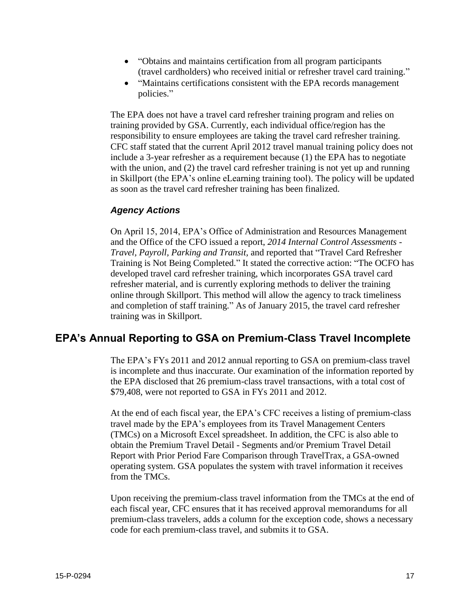- "Obtains and maintains certification from all program participants (travel cardholders) who received initial or refresher travel card training."
- "Maintains certifications consistent with the EPA records management policies."

The EPA does not have a travel card refresher training program and relies on training provided by GSA. Currently, each individual office/region has the responsibility to ensure employees are taking the travel card refresher training. CFC staff stated that the current April 2012 travel manual training policy does not include a 3-year refresher as a requirement because (1) the EPA has to negotiate with the union, and (2) the travel card refresher training is not yet up and running in Skillport (the EPA's online eLearning training tool). The policy will be updated as soon as the travel card refresher training has been finalized.

## *Agency Actions*

On April 15, 2014, EPA's Office of Administration and Resources Management and the Office of the CFO issued a report, *2014 Internal Control Assessments - Travel, Payroll, Parking and Transit,* and reported that "Travel Card Refresher Training is Not Being Completed." It stated the corrective action: "The OCFO has developed travel card refresher training, which incorporates GSA travel card refresher material, and is currently exploring methods to deliver the training online through Skillport. This method will allow the agency to track timeliness and completion of staff training." As of January 2015, the travel card refresher training was in Skillport.

## **EPA's Annual Reporting to GSA on Premium-Class Travel Incomplete**

The EPA's FYs 2011 and 2012 annual reporting to GSA on premium-class travel is incomplete and thus inaccurate. Our examination of the information reported by the EPA disclosed that 26 premium-class travel transactions, with a total cost of \$79,408, were not reported to GSA in FYs 2011 and 2012.

At the end of each fiscal year, the EPA's CFC receives a listing of premium-class travel made by the EPA's employees from its Travel Management Centers (TMCs) on a Microsoft Excel spreadsheet. In addition, the CFC is also able to obtain the Premium Travel Detail - Segments and/or Premium Travel Detail Report with Prior Period Fare Comparison through TravelTrax, a GSA-owned operating system. GSA populates the system with travel information it receives from the TMCs.

Upon receiving the premium-class travel information from the TMCs at the end of each fiscal year, CFC ensures that it has received approval memorandums for all premium-class travelers, adds a column for the exception code, shows a necessary code for each premium-class travel, and submits it to GSA.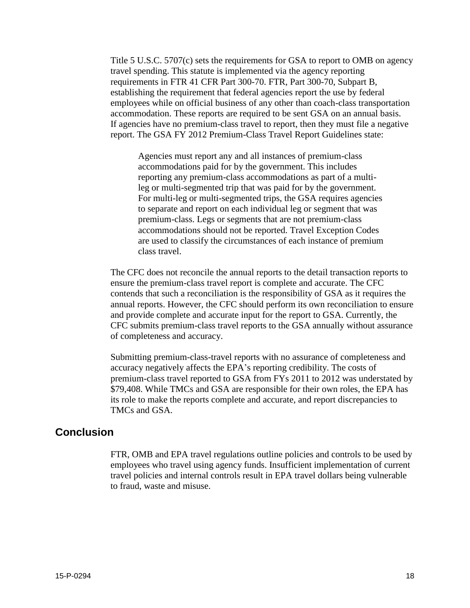Title 5 U.S.C. 5707(c) sets the requirements for GSA to report to OMB on agency travel spending. This statute is implemented via the agency reporting requirements in FTR 41 CFR Part 300-70. FTR, Part 300-70, Subpart B, establishing the requirement that federal agencies report the use by federal employees while on official business of any other than coach-class transportation accommodation. These reports are required to be sent GSA on an annual basis. If agencies have no premium-class travel to report, then they must file a negative report. The GSA FY 2012 Premium-Class Travel Report Guidelines state:

Agencies must report any and all instances of premium-class accommodations paid for by the government. This includes reporting any premium-class accommodations as part of a multileg or multi-segmented trip that was paid for by the government. For multi-leg or multi-segmented trips, the GSA requires agencies to separate and report on each individual leg or segment that was premium-class. Legs or segments that are not premium-class accommodations should not be reported. Travel Exception Codes are used to classify the circumstances of each instance of premium class travel.

The CFC does not reconcile the annual reports to the detail transaction reports to ensure the premium-class travel report is complete and accurate. The CFC contends that such a reconciliation is the responsibility of GSA as it requires the annual reports. However, the CFC should perform its own reconciliation to ensure and provide complete and accurate input for the report to GSA. Currently, the CFC submits premium-class travel reports to the GSA annually without assurance of completeness and accuracy.

Submitting premium-class-travel reports with no assurance of completeness and accuracy negatively affects the EPA's reporting credibility. The costs of premium-class travel reported to GSA from FYs 2011 to 2012 was understated by \$79,408. While TMCs and GSA are responsible for their own roles, the EPA has its role to make the reports complete and accurate, and report discrepancies to TMCs and GSA.

## **Conclusion**

FTR, OMB and EPA travel regulations outline policies and controls to be used by employees who travel using agency funds. Insufficient implementation of current travel policies and internal controls result in EPA travel dollars being vulnerable to fraud, waste and misuse.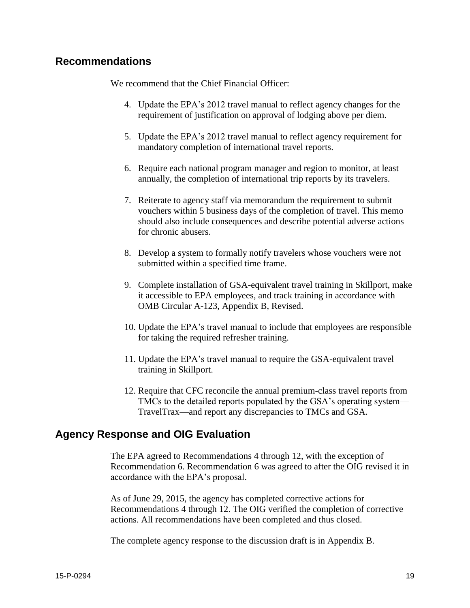## **Recommendations**

We recommend that the Chief Financial Officer:

- 4. Update the EPA's 2012 travel manual to reflect agency changes for the requirement of justification on approval of lodging above per diem.
- 5. Update the EPA's 2012 travel manual to reflect agency requirement for mandatory completion of international travel reports.
- 6. Require each national program manager and region to monitor, at least annually, the completion of international trip reports by its travelers.
- 7. Reiterate to agency staff via memorandum the requirement to submit vouchers within 5 business days of the completion of travel. This memo should also include consequences and describe potential adverse actions for chronic abusers.
- 8. Develop a system to formally notify travelers whose vouchers were not submitted within a specified time frame.
- 9. Complete installation of GSA-equivalent travel training in Skillport, make it accessible to EPA employees, and track training in accordance with OMB Circular A-123, Appendix B, Revised.
- 10. Update the EPA's travel manual to include that employees are responsible for taking the required refresher training.
- 11. Update the EPA's travel manual to require the GSA-equivalent travel training in Skillport.
- 12. Require that CFC reconcile the annual premium-class travel reports from TMCs to the detailed reports populated by the GSA's operating system— TravelTrax—and report any discrepancies to TMCs and GSA.

## **Agency Response and OIG Evaluation**

The EPA agreed to Recommendations 4 through 12, with the exception of Recommendation 6. Recommendation 6 was agreed to after the OIG revised it in accordance with the EPA's proposal.

As of June 29, 2015, the agency has completed corrective actions for Recommendations 4 through 12. The OIG verified the completion of corrective actions. All recommendations have been completed and thus closed.

The complete agency response to the discussion draft is in Appendix B.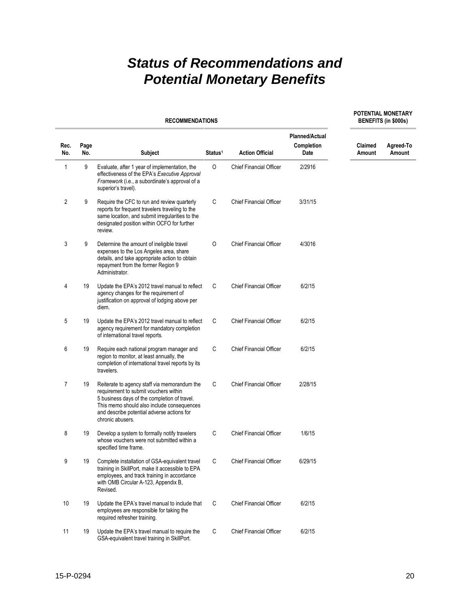## *Status of Recommendations and Potential Monetary Benefits*

|             |             | <b>BENEFITS (in \$000s)</b>                                                                                                                                                                                                                           |                     |                                |                                             |                   |                     |
|-------------|-------------|-------------------------------------------------------------------------------------------------------------------------------------------------------------------------------------------------------------------------------------------------------|---------------------|--------------------------------|---------------------------------------------|-------------------|---------------------|
| Rec.<br>No. | Page<br>No. | <b>Subject</b>                                                                                                                                                                                                                                        | Status <sup>1</sup> | <b>Action Official</b>         | <b>Planned/Actual</b><br>Completion<br>Date | Claimed<br>Amount | Agreed-To<br>Amount |
| 1           | 9           | Evaluate, after 1 year of implementation, the<br>effectiveness of the EPA's Executive Approval<br>Framework (i.e., a subordinate's approval of a<br>superior's travel).                                                                               | 0                   | <b>Chief Financial Officer</b> | 2/2916                                      |                   |                     |
| 2           | 9           | Require the CFC to run and review quarterly<br>reports for frequent travelers traveling to the<br>same location, and submit irregularities to the<br>designated position within OCFO for further<br>review.                                           | С                   | <b>Chief Financial Officer</b> | 3/31/15                                     |                   |                     |
| 3           | 9           | Determine the amount of ineligible travel<br>expenses to the Los Angeles area, share<br>details, and take appropriate action to obtain<br>repayment from the former Region 9<br>Administrator.                                                        | 0                   | <b>Chief Financial Officer</b> | 4/3016                                      |                   |                     |
| 4           | 19          | Update the EPA's 2012 travel manual to reflect<br>agency changes for the requirement of<br>justification on approval of lodging above per<br>diem.                                                                                                    | С                   | <b>Chief Financial Officer</b> | 6/2/15                                      |                   |                     |
| 5           | 19          | Update the EPA's 2012 travel manual to reflect<br>agency requirement for mandatory completion<br>of international travel reports.                                                                                                                     | С                   | <b>Chief Financial Officer</b> | 6/2/15                                      |                   |                     |
| 6           | 19          | Require each national program manager and<br>region to monitor, at least annually, the<br>completion of international travel reports by its<br>travelers.                                                                                             | С                   | <b>Chief Financial Officer</b> | 6/2/15                                      |                   |                     |
| 7           | 19          | Reiterate to agency staff via memorandum the<br>requirement to submit vouchers within<br>5 business days of the completion of travel.<br>This memo should also include consequences<br>and describe potential adverse actions for<br>chronic abusers. | C                   | <b>Chief Financial Officer</b> | 2/28/15                                     |                   |                     |
| 8           | 19          | Develop a system to formally notify travelers<br>whose vouchers were not submitted within a<br>specified time frame.                                                                                                                                  | С                   | <b>Chief Financial Officer</b> | 1/6/15                                      |                   |                     |
| 9           | 19          | Complete installation of GSA-equivalent travel<br>training in SkillPort, make it accessible to EPA<br>employees, and track training in accordance<br>with OMB Circular A-123, Appendix B,<br>Revised.                                                 | С                   | Chief Financial Officer        | 6/29/15                                     |                   |                     |
| 10          | 19          | Update the EPA's travel manual to include that<br>employees are responsible for taking the<br>required refresher training.                                                                                                                            | $\mathsf C$         | <b>Chief Financial Officer</b> | 6/2/15                                      |                   |                     |
| 11          | 19          | Update the EPA's travel manual to require the<br>GSA-equivalent travel training in SkillPort.                                                                                                                                                         | $\mathsf C$         | <b>Chief Financial Officer</b> | 6/2/15                                      |                   |                     |

**POTENTIAL MONETARY**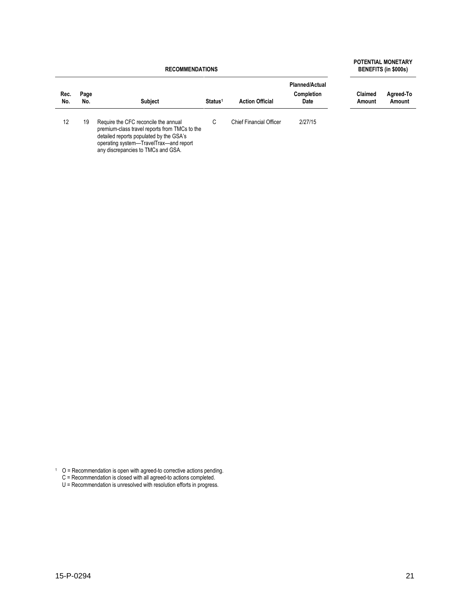**RECOMMENDATIONS**

#### **POTENTIAL MONETARY BENEFITS (in \$000s)**

| Rec.<br>No. | Page<br>No. | <b>Subject</b>                                                                                                                                                                                                   | Status <sup>1</sup> | <b>Action Official</b>         | <b>Planned/Actual</b><br><b>Completion</b><br>Date | Claimed<br>Amount | Agreed-To<br>Amount |
|-------------|-------------|------------------------------------------------------------------------------------------------------------------------------------------------------------------------------------------------------------------|---------------------|--------------------------------|----------------------------------------------------|-------------------|---------------------|
| 12          | 19          | Require the CFC reconcile the annual<br>premium-class travel reports from TMCs to the<br>detailed reports populated by the GSA's<br>operating system-TravelTrax-and report<br>any discrepancies to TMCs and GSA. | C                   | <b>Chief Financial Officer</b> | 2/27/15                                            |                   |                     |

 $1 \quad O =$  Recommendation is open with agreed-to corrective actions pending.

- C = Recommendation is closed with all agreed-to actions completed.
- U = Recommendation is unresolved with resolution efforts in progress.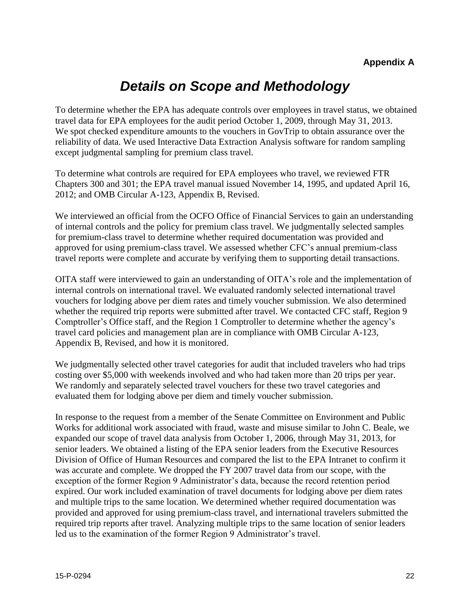## *Details on Scope and Methodology*

To determine whether the EPA has adequate controls over employees in travel status, we obtained travel data for EPA employees for the audit period October 1, 2009, through May 31, 2013. We spot checked expenditure amounts to the vouchers in GovTrip to obtain assurance over the reliability of data. We used Interactive Data Extraction Analysis software for random sampling except judgmental sampling for premium class travel.

To determine what controls are required for EPA employees who travel, we reviewed FTR Chapters 300 and 301; the EPA travel manual issued November 14, 1995, and updated April 16, 2012; and OMB Circular A-123, Appendix B, Revised.

We interviewed an official from the OCFO Office of Financial Services to gain an understanding of internal controls and the policy for premium class travel. We judgmentally selected samples for premium-class travel to determine whether required documentation was provided and approved for using premium-class travel. We assessed whether CFC's annual premium-class travel reports were complete and accurate by verifying them to supporting detail transactions.

OITA staff were interviewed to gain an understanding of OITA's role and the implementation of internal controls on international travel. We evaluated randomly selected international travel vouchers for lodging above per diem rates and timely voucher submission. We also determined whether the required trip reports were submitted after travel. We contacted CFC staff, Region 9 Comptroller's Office staff, and the Region 1 Comptroller to determine whether the agency's travel card policies and management plan are in compliance with OMB Circular A-123, Appendix B, Revised, and how it is monitored.

We judgmentally selected other travel categories for audit that included travelers who had trips costing over \$5,000 with weekends involved and who had taken more than 20 trips per year. We randomly and separately selected travel vouchers for these two travel categories and evaluated them for lodging above per diem and timely voucher submission.

In response to the request from a member of the Senate Committee on Environment and Public Works for additional work associated with fraud, waste and misuse similar to John C. Beale, we expanded our scope of travel data analysis from October 1, 2006, through May 31, 2013, for senior leaders. We obtained a listing of the EPA senior leaders from the Executive Resources Division of Office of Human Resources and compared the list to the EPA Intranet to confirm it was accurate and complete. We dropped the FY 2007 travel data from our scope, with the exception of the former Region 9 Administrator's data, because the record retention period expired. Our work included examination of travel documents for lodging above per diem rates and multiple trips to the same location. We determined whether required documentation was provided and approved for using premium-class travel, and international travelers submitted the required trip reports after travel. Analyzing multiple trips to the same location of senior leaders led us to the examination of the former Region 9 Administrator's travel.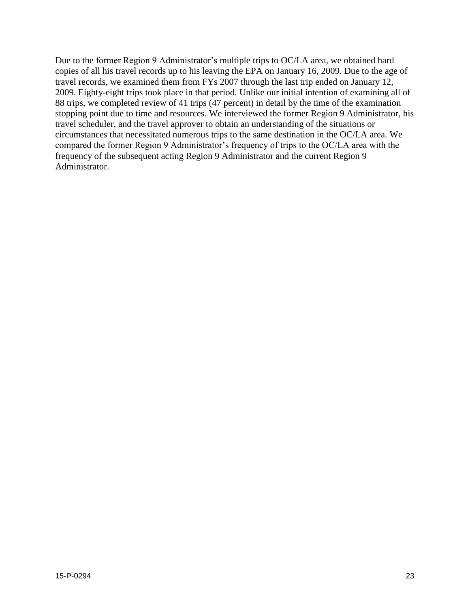Due to the former Region 9 Administrator's multiple trips to OC/LA area, we obtained hard copies of all his travel records up to his leaving the EPA on January 16, 2009. Due to the age of travel records, we examined them from FYs 2007 through the last trip ended on January 12, 2009. Eighty-eight trips took place in that period. Unlike our initial intention of examining all of 88 trips, we completed review of 41 trips (47 percent) in detail by the time of the examination stopping point due to time and resources. We interviewed the former Region 9 Administrator, his travel scheduler, and the travel approver to obtain an understanding of the situations or circumstances that necessitated numerous trips to the same destination in the OC/LA area. We compared the former Region 9 Administrator's frequency of trips to the OC/LA area with the frequency of the subsequent acting Region 9 Administrator and the current Region 9 Administrator.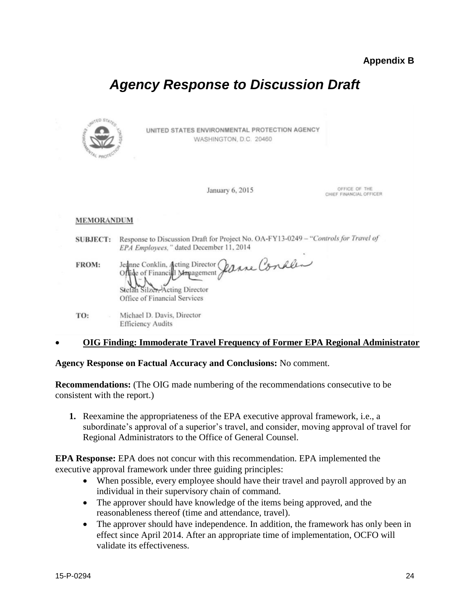## *Agency Response to Discussion Draft*



UNITED STATES ENVIRONMENTAL PROTECTION AGENCY WASHINGTON, D.C. 20460

January 6, 2015

OFFICE OF THE CHIEF FINANCIAL OFFICER

## MEMORANDUM

SUBJECT: Response to Discussion Draft for Project No. OA-FY13-0249 - "Controls for Travel of EPA Employees," dated December 11, 2014

Jednne Conklin, Acting Director *Janne Conkles* FROM: Offide of Financial Management Acting Director Stefan Silzer-Office of Financial Services

Michael D. Davis, Director TO: **Efficiency Audits** 

## **OIG Finding: Immoderate Travel Frequency of Former EPA Regional Administrator**

**Agency Response on Factual Accuracy and Conclusions:** No comment.

**Recommendations:** (The OIG made numbering of the recommendations consecutive to be consistent with the report.)

**1.** Reexamine the appropriateness of the EPA executive approval framework, i.e., a subordinate's approval of a superior's travel, and consider, moving approval of travel for Regional Administrators to the Office of General Counsel.

**EPA Response:** EPA does not concur with this recommendation. EPA implemented the executive approval framework under three guiding principles:

- When possible, every employee should have their travel and payroll approved by an individual in their supervisory chain of command.
- The approver should have knowledge of the items being approved, and the reasonableness thereof (time and attendance, travel).
- The approver should have independence. In addition, the framework has only been in effect since April 2014. After an appropriate time of implementation, OCFO will validate its effectiveness.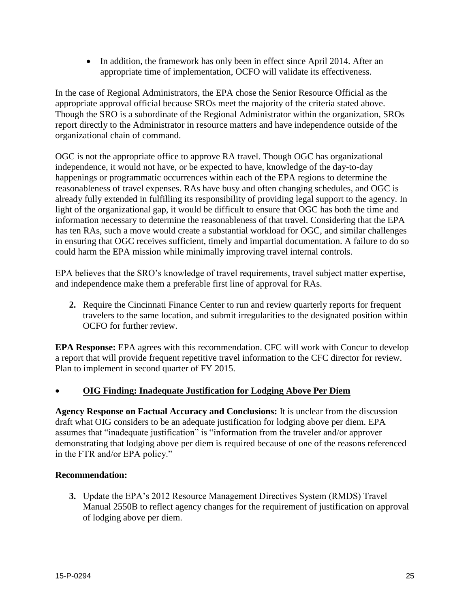• In addition, the framework has only been in effect since April 2014. After an appropriate time of implementation, OCFO will validate its effectiveness.

In the case of Regional Administrators, the EPA chose the Senior Resource Official as the appropriate approval official because SROs meet the majority of the criteria stated above. Though the SRO is a subordinate of the Regional Administrator within the organization, SROs report directly to the Administrator in resource matters and have independence outside of the organizational chain of command.

OGC is not the appropriate office to approve RA travel. Though OGC has organizational independence, it would not have, or be expected to have, knowledge of the day-to-day happenings or programmatic occurrences within each of the EPA regions to determine the reasonableness of travel expenses. RAs have busy and often changing schedules, and OGC is already fully extended in fulfilling its responsibility of providing legal support to the agency. In light of the organizational gap, it would be difficult to ensure that OGC has both the time and information necessary to determine the reasonableness of that travel. Considering that the EPA has ten RAs, such a move would create a substantial workload for OGC, and similar challenges in ensuring that OGC receives sufficient, timely and impartial documentation. A failure to do so could harm the EPA mission while minimally improving travel internal controls.

EPA believes that the SRO's knowledge of travel requirements, travel subject matter expertise, and independence make them a preferable first line of approval for RAs.

**2.** Require the Cincinnati Finance Center to run and review quarterly reports for frequent travelers to the same location, and submit irregularities to the designated position within OCFO for further review.

**EPA Response:** EPA agrees with this recommendation. CFC will work with Concur to develop a report that will provide frequent repetitive travel information to the CFC director for review. Plan to implement in second quarter of FY 2015.

## **OIG Finding: Inadequate Justification for Lodging Above Per Diem**

**Agency Response on Factual Accuracy and Conclusions:** It is unclear from the discussion draft what OIG considers to be an adequate justification for lodging above per diem. EPA assumes that "inadequate justification" is "information from the traveler and/or approver demonstrating that lodging above per diem is required because of one of the reasons referenced in the FTR and/or EPA policy."

## **Recommendation:**

**3.** Update the EPA's 2012 Resource Management Directives System (RMDS) Travel Manual 2550B to reflect agency changes for the requirement of justification on approval of lodging above per diem.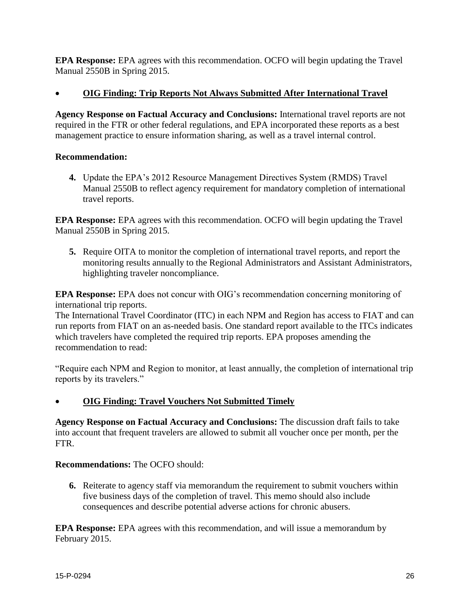**EPA Response:** EPA agrees with this recommendation. OCFO will begin updating the Travel Manual 2550B in Spring 2015.

## **OIG Finding: Trip Reports Not Always Submitted After International Travel**

**Agency Response on Factual Accuracy and Conclusions:** International travel reports are not required in the FTR or other federal regulations, and EPA incorporated these reports as a best management practice to ensure information sharing, as well as a travel internal control.

## **Recommendation:**

**4.** Update the EPA's 2012 Resource Management Directives System (RMDS) Travel Manual 2550B to reflect agency requirement for mandatory completion of international travel reports.

**EPA Response:** EPA agrees with this recommendation. OCFO will begin updating the Travel Manual 2550B in Spring 2015.

**5.** Require OITA to monitor the completion of international travel reports, and report the monitoring results annually to the Regional Administrators and Assistant Administrators, highlighting traveler noncompliance.

**EPA Response:** EPA does not concur with OIG's recommendation concerning monitoring of international trip reports.

The International Travel Coordinator (ITC) in each NPM and Region has access to FIAT and can run reports from FIAT on an as-needed basis. One standard report available to the ITCs indicates which travelers have completed the required trip reports. EPA proposes amending the recommendation to read:

"Require each NPM and Region to monitor, at least annually, the completion of international trip reports by its travelers."

**OIG Finding: Travel Vouchers Not Submitted Timely** 

**Agency Response on Factual Accuracy and Conclusions:** The discussion draft fails to take into account that frequent travelers are allowed to submit all voucher once per month, per the FTR.

## **Recommendations:** The OCFO should:

**6.** Reiterate to agency staff via memorandum the requirement to submit vouchers within five business days of the completion of travel. This memo should also include consequences and describe potential adverse actions for chronic abusers.

**EPA Response:** EPA agrees with this recommendation, and will issue a memorandum by February 2015.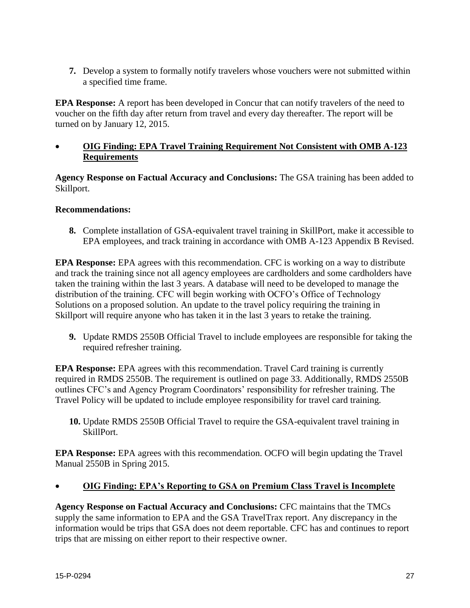**7.** Develop a system to formally notify travelers whose vouchers were not submitted within a specified time frame.

**EPA Response:** A report has been developed in Concur that can notify travelers of the need to voucher on the fifth day after return from travel and every day thereafter. The report will be turned on by January 12, 2015.

 **OIG Finding: EPA Travel Training Requirement Not Consistent with OMB A-123 Requirements** 

**Agency Response on Factual Accuracy and Conclusions:** The GSA training has been added to Skillport.

## **Recommendations:**

**8.** Complete installation of GSA-equivalent travel training in SkillPort, make it accessible to EPA employees, and track training in accordance with OMB A-123 Appendix B Revised.

**EPA Response:** EPA agrees with this recommendation. CFC is working on a way to distribute and track the training since not all agency employees are cardholders and some cardholders have taken the training within the last 3 years. A database will need to be developed to manage the distribution of the training. CFC will begin working with OCFO's Office of Technology Solutions on a proposed solution. An update to the travel policy requiring the training in Skillport will require anyone who has taken it in the last 3 years to retake the training.

**9.** Update RMDS 2550B Official Travel to include employees are responsible for taking the required refresher training.

**EPA Response:** EPA agrees with this recommendation. Travel Card training is currently required in RMDS 2550B. The requirement is outlined on page 33. Additionally, RMDS 2550B outlines CFC's and Agency Program Coordinators' responsibility for refresher training. The Travel Policy will be updated to include employee responsibility for travel card training.

**10.** Update RMDS 2550B Official Travel to require the GSA-equivalent travel training in SkillPort.

**EPA Response:** EPA agrees with this recommendation. OCFO will begin updating the Travel Manual 2550B in Spring 2015.

## **OIG Finding: EPA's Reporting to GSA on Premium Class Travel is Incomplete**

**Agency Response on Factual Accuracy and Conclusions:** CFC maintains that the TMCs supply the same information to EPA and the GSA TravelTrax report. Any discrepancy in the information would be trips that GSA does not deem reportable. CFC has and continues to report trips that are missing on either report to their respective owner.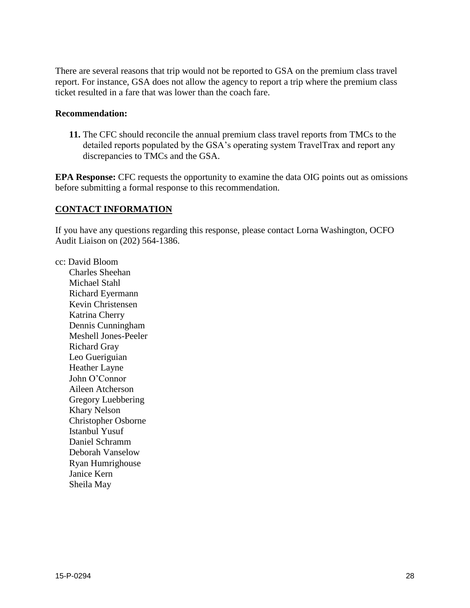There are several reasons that trip would not be reported to GSA on the premium class travel report. For instance, GSA does not allow the agency to report a trip where the premium class ticket resulted in a fare that was lower than the coach fare.

## **Recommendation:**

**11.** The CFC should reconcile the annual premium class travel reports from TMCs to the detailed reports populated by the GSA's operating system TravelTrax and report any discrepancies to TMCs and the GSA.

**EPA Response:** CFC requests the opportunity to examine the data OIG points out as omissions before submitting a formal response to this recommendation.

## **CONTACT INFORMATION**

If you have any questions regarding this response, please contact Lorna Washington, OCFO Audit Liaison on (202) 564-1386.

cc: David Bloom Charles Sheehan Michael Stahl Richard Eyermann Kevin Christensen Katrina Cherry Dennis Cunningham Meshell Jones-Peeler Richard Gray Leo Gueriguian Heather Layne John O'Connor Aileen Atcherson Gregory Luebbering Khary Nelson Christopher Osborne Istanbul Yusuf Daniel Schramm Deborah Vanselow Ryan Humrighouse Janice Kern Sheila May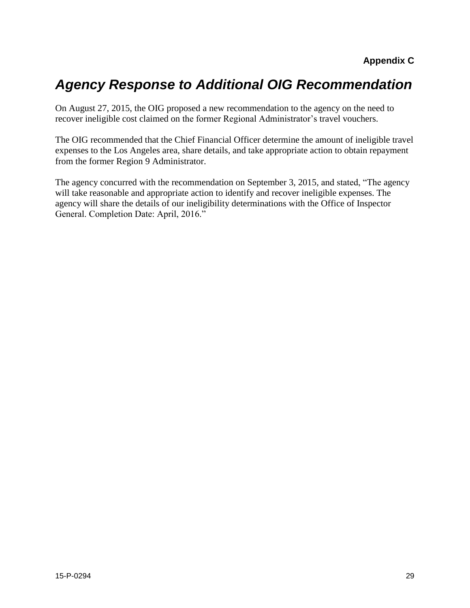## *Agency Response to Additional OIG Recommendation*

On August 27, 2015, the OIG proposed a new recommendation to the agency on the need to recover ineligible cost claimed on the former Regional Administrator's travel vouchers.

The OIG recommended that the Chief Financial Officer determine the amount of ineligible travel expenses to the Los Angeles area, share details, and take appropriate action to obtain repayment from the former Region 9 Administrator.

The agency concurred with the recommendation on September 3, 2015, and stated, "The agency will take reasonable and appropriate action to identify and recover ineligible expenses. The agency will share the details of our ineligibility determinations with the Office of Inspector General. Completion Date: April, 2016."